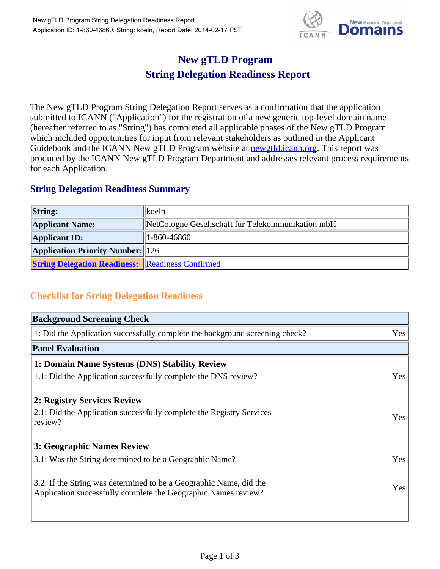

## **New gTLD Program String Delegation Readiness Report**

The New gTLD Program String Delegation Report serves as a confirmation that the application submitted to ICANN ("Application") for the registration of a new generic top-level domain name (hereafter referred to as "String") has completed all applicable phases of the New gTLD Program which included opportunities for input from relevant stakeholders as outlined in the Applicant Guidebook and the ICANN New gTLD Program website at **newgtld.jcann.org**. This report was produced by the ICANN New gTLD Program Department and addresses relevant process requirements for each Application.

## **String Delegation Readiness Summary**

| <b>String:</b>                                          | koeln                                             |
|---------------------------------------------------------|---------------------------------------------------|
| <b>Applicant Name:</b>                                  | NetCologne Gesellschaft für Telekommunikation mbH |
| <b>Applicant ID:</b>                                    | 1-860-46860                                       |
| <b>Application Priority Number:</b> 126                 |                                                   |
| <b>String Delegation Readiness:</b> Readiness Confirmed |                                                   |

## **Checklist for String Delegation Readiness**

| <b>Background Screening Check</b> |  |  |
|-----------------------------------|--|--|
| Yes                               |  |  |
|                                   |  |  |
|                                   |  |  |
| Yes                               |  |  |
|                                   |  |  |
| <b>Yes</b>                        |  |  |
|                                   |  |  |
| Yes                               |  |  |
| Yes                               |  |  |
|                                   |  |  |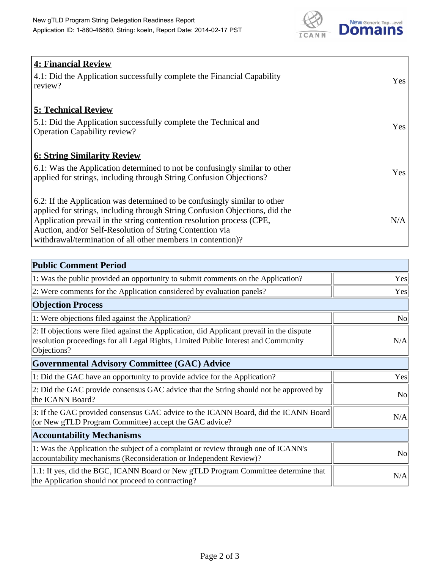

| <b>4: Financial Review</b><br>4.1: Did the Application successfully complete the Financial Capability<br>review?                                                                                                                                                                                                                                             | Yes |
|--------------------------------------------------------------------------------------------------------------------------------------------------------------------------------------------------------------------------------------------------------------------------------------------------------------------------------------------------------------|-----|
| <b>5: Technical Review</b><br>5.1: Did the Application successfully complete the Technical and<br><b>Operation Capability review?</b>                                                                                                                                                                                                                        | Yes |
| <b>6: String Similarity Review</b><br>6.1: Was the Application determined to not be confusingly similar to other<br>applied for strings, including through String Confusion Objections?                                                                                                                                                                      | Yes |
| 6.2: If the Application was determined to be confusingly similar to other<br>applied for strings, including through String Confusion Objections, did the<br>Application prevail in the string contention resolution process (CPE,<br>Auction, and/or Self-Resolution of String Contention via<br>withdrawal/termination of all other members in contention)? | N/A |

| <b>Public Comment Period</b>                                                                                                                                                                   |                |
|------------------------------------------------------------------------------------------------------------------------------------------------------------------------------------------------|----------------|
| 1: Was the public provided an opportunity to submit comments on the Application?                                                                                                               | Yes            |
| 2: Were comments for the Application considered by evaluation panels?                                                                                                                          | Yes            |
| <b>Objection Process</b>                                                                                                                                                                       |                |
| 1: Were objections filed against the Application?                                                                                                                                              | N <sub>0</sub> |
| 2: If objections were filed against the Application, did Applicant prevail in the dispute<br>resolution proceedings for all Legal Rights, Limited Public Interest and Community<br>Objections? | N/A            |
| <b>Governmental Advisory Committee (GAC) Advice</b>                                                                                                                                            |                |
| 1: Did the GAC have an opportunity to provide advice for the Application?                                                                                                                      | Yes            |
| 2: Did the GAC provide consensus GAC advice that the String should not be approved by<br>the ICANN Board?                                                                                      | <b>No</b>      |
| 3: If the GAC provided consensus GAC advice to the ICANN Board, did the ICANN Board<br>(or New gTLD Program Committee) accept the GAC advice?                                                  | N/A            |
| <b>Accountability Mechanisms</b>                                                                                                                                                               |                |
| 1: Was the Application the subject of a complaint or review through one of ICANN's<br>accountability mechanisms (Reconsideration or Independent Review)?                                       | <b>No</b>      |
| 1.1: If yes, did the BGC, ICANN Board or New gTLD Program Committee determine that<br>the Application should not proceed to contracting?                                                       | N/A            |